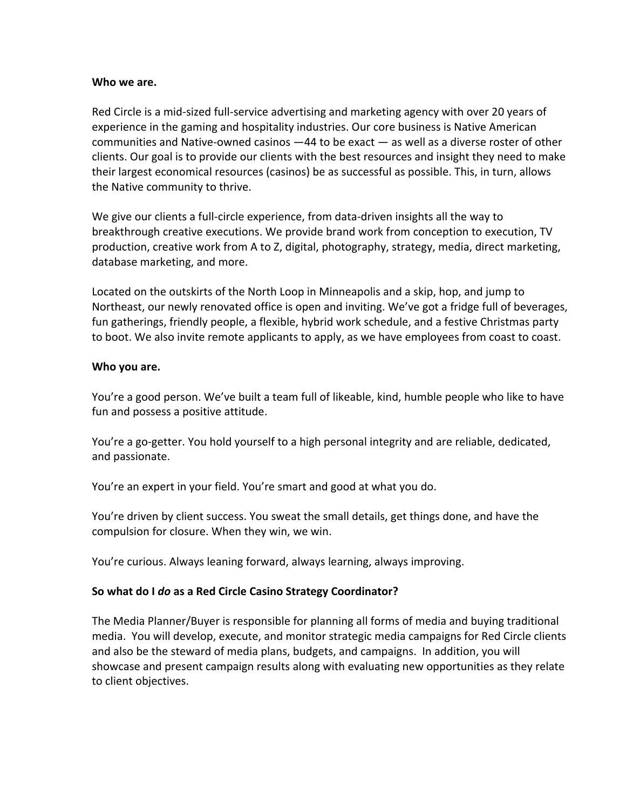#### **Who we are.**

Red Circle is a mid-sized full-service advertising and marketing agency with over 20 years of experience in the gaming and hospitality industries. Our core business is Native American communities and Native-owned casinos —44 to be exact — as well as a diverse roster of other clients. Our goal is to provide our clients with the best resources and insight they need to make their largest economical resources (casinos) be as successful as possible. This, in turn, allows the Native community to thrive.

We give our clients a full-circle experience, from data-driven insights all the way to breakthrough creative executions. We provide brand work from conception to execution, TV production, creative work from A to Z, digital, photography, strategy, media, direct marketing, database marketing, and more.

Located on the outskirts of the North Loop in Minneapolis and a skip, hop, and jump to Northeast, our newly renovated office is open and inviting. We've got a fridge full of beverages, fun gatherings, friendly people, a flexible, hybrid work schedule, and a festive Christmas party to boot. We also invite remote applicants to apply, as we have employees from coast to coast.

#### **Who you are.**

You're a good person. We've built a team full of likeable, kind, humble people who like to have fun and possess a positive attitude.

You're a go-getter. You hold yourself to a high personal integrity and are reliable, dedicated, and passionate.

You're an expert in your field. You're smart and good at what you do.

You're driven by client success. You sweat the small details, get things done, and have the compulsion for closure. When they win, we win.

You're curious. Always leaning forward, always learning, always improving.

# **So what do I** *do* **as a Red Circle Casino Strategy Coordinator?**

The Media Planner/Buyer is responsible for planning all forms of media and buying traditional media. You will develop, execute, and monitor strategic media campaigns for Red Circle clients and also be the steward of media plans, budgets, and campaigns. In addition, you will showcase and present campaign results along with evaluating new opportunities as they relate to client objectives.